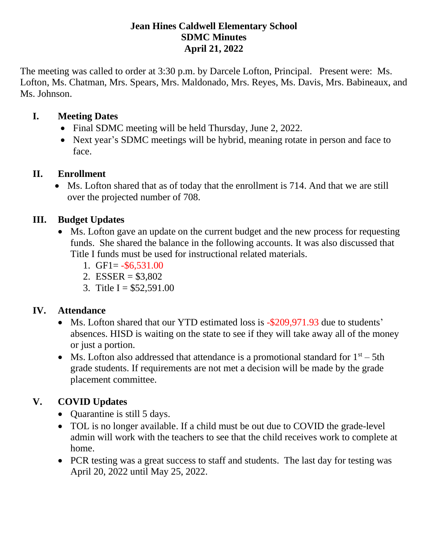#### **Jean Hines Caldwell Elementary School SDMC Minutes April 21, 2022**

The meeting was called to order at 3:30 p.m. by Darcele Lofton, Principal. Present were: Ms. Lofton, Ms. Chatman, Mrs. Spears, Mrs. Maldonado, Mrs. Reyes, Ms. Davis, Mrs. Babineaux, and Ms. Johnson.

#### **I. Meeting Dates**

- Final SDMC meeting will be held Thursday, June 2, 2022.
- Next year's SDMC meetings will be hybrid, meaning rotate in person and face to face.

#### **II. Enrollment**

• Ms. Lofton shared that as of today that the enrollment is 714. And that we are still over the projected number of 708.

### **III. Budget Updates**

- Ms. Lofton gave an update on the current budget and the new process for requesting funds. She shared the balance in the following accounts. It was also discussed that Title I funds must be used for instructional related materials.
	- 1. GF1= $-$ \$6,531.00
	- 2. ESSER =  $$3,802$
	- 3. Title I =  $$52,591.00$

### **IV. Attendance**

- Ms. Lofton shared that our YTD estimated loss is -\$209,971.93 due to students' absences. HISD is waiting on the state to see if they will take away all of the money or just a portion.
- Ms. Lofton also addressed that attendance is a promotional standard for  $1<sup>st</sup> 5th$ grade students. If requirements are not met a decision will be made by the grade placement committee.

# **V. COVID Updates**

- Quarantine is still 5 days.
- TOL is no longer available. If a child must be out due to COVID the grade-level admin will work with the teachers to see that the child receives work to complete at home.
- PCR testing was a great success to staff and students. The last day for testing was April 20, 2022 until May 25, 2022.